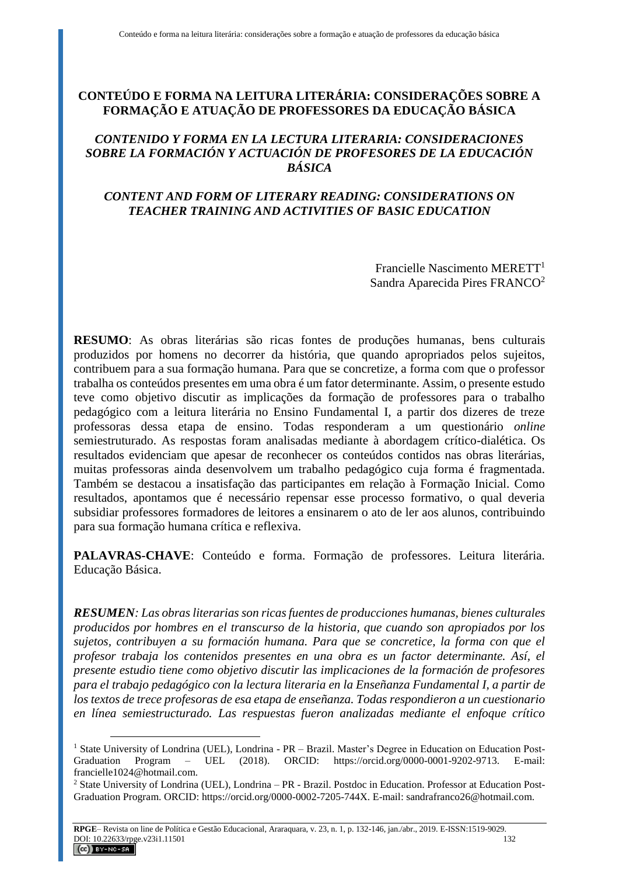# **CONTEÚDO E FORMA NA LEITURA LITERÁRIA: CONSIDERAÇÕES SOBRE A FORMAÇÃO E ATUAÇÃO DE PROFESSORES DA EDUCAÇÃO BÁSICA**

## *CONTENIDO Y FORMA EN LA LECTURA LITERARIA: CONSIDERACIONES SOBRE LA FORMACIÓN Y ACTUACIÓN DE PROFESORES DE LA EDUCACIÓN BÁSICA*

# *CONTENT AND FORM OF LITERARY READING: CONSIDERATIONS ON TEACHER TRAINING AND ACTIVITIES OF BASIC EDUCATION*

Francielle Nascimento MERETT<sup>1</sup> Sandra Aparecida Pires FRANCO<sup>2</sup>

**RESUMO**: As obras literárias são ricas fontes de produções humanas, bens culturais produzidos por homens no decorrer da história, que quando apropriados pelos sujeitos, contribuem para a sua formação humana. Para que se concretize, a forma com que o professor trabalha os conteúdos presentes em uma obra é um fator determinante. Assim, o presente estudo teve como objetivo discutir as implicações da formação de professores para o trabalho pedagógico com a leitura literária no Ensino Fundamental I, a partir dos dizeres de treze professoras dessa etapa de ensino. Todas responderam a um questionário *online* semiestruturado. As respostas foram analisadas mediante à abordagem crítico-dialética. Os resultados evidenciam que apesar de reconhecer os conteúdos contidos nas obras literárias, muitas professoras ainda desenvolvem um trabalho pedagógico cuja forma é fragmentada. Também se destacou a insatisfação das participantes em relação à Formação Inicial. Como resultados, apontamos que é necessário repensar esse processo formativo, o qual deveria subsidiar professores formadores de leitores a ensinarem o ato de ler aos alunos, contribuindo para sua formação humana crítica e reflexiva.

**PALAVRAS-CHAVE**: Conteúdo e forma. Formação de professores. Leitura literária. Educação Básica.

*RESUMEN: Las obras literarias son ricas fuentes de producciones humanas, bienes culturales producidos por hombres en el transcurso de la historia, que cuando son apropiados por los sujetos, contribuyen a su formación humana. Para que se concretice, la forma con que el profesor trabaja los contenidos presentes en una obra es un factor determinante. Así, el presente estudio tiene como objetivo discutir las implicaciones de la formación de profesores para el trabajo pedagógico con la lectura literaria en la Enseñanza Fundamental I, a partir de los textos de trece profesoras de esa etapa de enseñanza. Todas respondieron a un cuestionario en línea semiestructurado. Las respuestas fueron analizadas mediante el enfoque crítico* 

 $\overline{a}$ 

<sup>&</sup>lt;sup>1</sup> State University of Londrina (UEL), Londrina - PR – Brazil. Master's Degree in Education on Education Post-Graduation Program – UEL (2018). ORCID: https://orcid.org/0000-0001-9202-9713. E-mail: francielle1024@hotmail.com.

<sup>&</sup>lt;sup>2</sup> State University of Londrina (UEL), Londrina – PR - Brazil. Postdoc in Education. Professor at Education Post-Graduation Program. ORCID: https://orcid.org/0000-0002-7205-744X. E-mail: sandrafranco26@hotmail.com.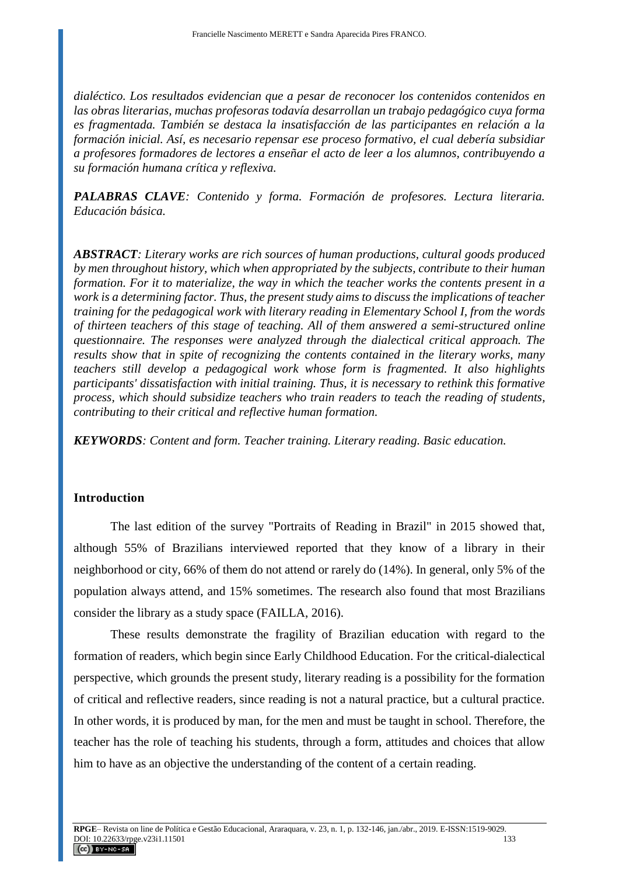*dialéctico. Los resultados evidencian que a pesar de reconocer los contenidos contenidos en las obras literarias, muchas profesoras todavía desarrollan un trabajo pedagógico cuya forma es fragmentada. También se destaca la insatisfacción de las participantes en relación a la formación inicial. Así, es necesario repensar ese proceso formativo, el cual debería subsidiar a profesores formadores de lectores a enseñar el acto de leer a los alumnos, contribuyendo a su formación humana crítica y reflexiva.*

*PALABRAS CLAVE: Contenido y forma. Formación de profesores. Lectura literaria. Educación básica.*

*ABSTRACT: Literary works are rich sources of human productions, cultural goods produced by men throughout history, which when appropriated by the subjects, contribute to their human formation. For it to materialize, the way in which the teacher works the contents present in a work is a determining factor. Thus, the present study aims to discuss the implications of teacher training for the pedagogical work with literary reading in Elementary School I, from the words of thirteen teachers of this stage of teaching. All of them answered a semi-structured online questionnaire. The responses were analyzed through the dialectical critical approach. The results show that in spite of recognizing the contents contained in the literary works, many teachers still develop a pedagogical work whose form is fragmented. It also highlights participants' dissatisfaction with initial training. Thus, it is necessary to rethink this formative process, which should subsidize teachers who train readers to teach the reading of students, contributing to their critical and reflective human formation.*

*KEYWORDS: Content and form. Teacher training. Literary reading. Basic education.*

## **Introduction**

The last edition of the survey "Portraits of Reading in Brazil" in 2015 showed that, although 55% of Brazilians interviewed reported that they know of a library in their neighborhood or city, 66% of them do not attend or rarely do (14%). In general, only 5% of the population always attend, and 15% sometimes. The research also found that most Brazilians consider the library as a study space (FAILLA, 2016).

These results demonstrate the fragility of Brazilian education with regard to the formation of readers, which begin since Early Childhood Education. For the critical-dialectical perspective, which grounds the present study, literary reading is a possibility for the formation of critical and reflective readers, since reading is not a natural practice, but a cultural practice. In other words, it is produced by man, for the men and must be taught in school. Therefore, the teacher has the role of teaching his students, through a form, attitudes and choices that allow him to have as an objective the understanding of the content of a certain reading.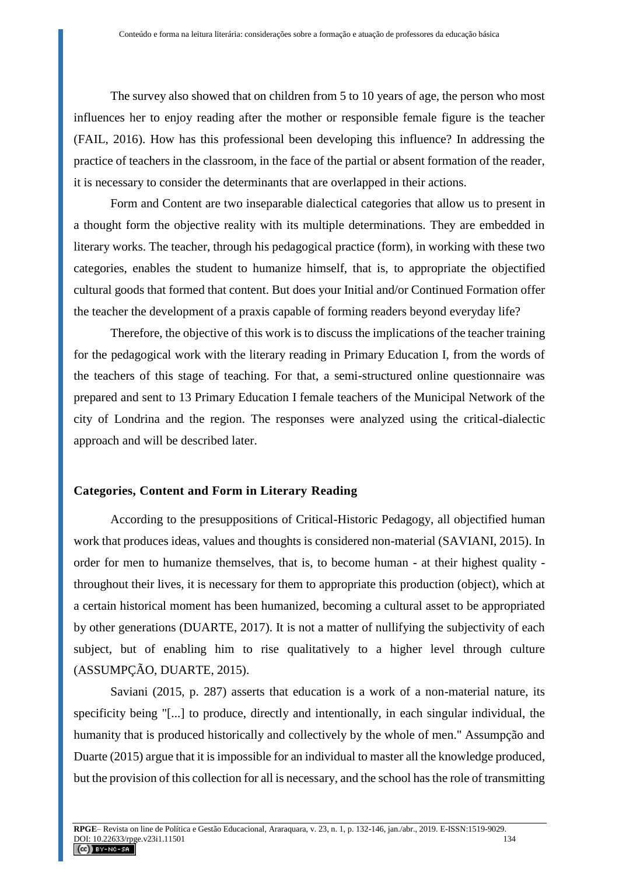The survey also showed that on children from 5 to 10 years of age, the person who most influences her to enjoy reading after the mother or responsible female figure is the teacher (FAIL, 2016). How has this professional been developing this influence? In addressing the practice of teachers in the classroom, in the face of the partial or absent formation of the reader, it is necessary to consider the determinants that are overlapped in their actions.

Form and Content are two inseparable dialectical categories that allow us to present in a thought form the objective reality with its multiple determinations. They are embedded in literary works. The teacher, through his pedagogical practice (form), in working with these two categories, enables the student to humanize himself, that is, to appropriate the objectified cultural goods that formed that content. But does your Initial and/or Continued Formation offer the teacher the development of a praxis capable of forming readers beyond everyday life?

Therefore, the objective of this work is to discuss the implications of the teacher training for the pedagogical work with the literary reading in Primary Education I, from the words of the teachers of this stage of teaching. For that, a semi-structured online questionnaire was prepared and sent to 13 Primary Education I female teachers of the Municipal Network of the city of Londrina and the region. The responses were analyzed using the critical-dialectic approach and will be described later.

#### **Categories, Content and Form in Literary Reading**

According to the presuppositions of Critical-Historic Pedagogy, all objectified human work that produces ideas, values and thoughts is considered non-material (SAVIANI, 2015). In order for men to humanize themselves, that is, to become human - at their highest quality throughout their lives, it is necessary for them to appropriate this production (object), which at a certain historical moment has been humanized, becoming a cultural asset to be appropriated by other generations (DUARTE, 2017). It is not a matter of nullifying the subjectivity of each subject, but of enabling him to rise qualitatively to a higher level through culture (ASSUMPÇÃO, DUARTE, 2015).

Saviani (2015, p. 287) asserts that education is a work of a non-material nature, its specificity being "[...] to produce, directly and intentionally, in each singular individual, the humanity that is produced historically and collectively by the whole of men." Assumpção and Duarte (2015) argue that it is impossible for an individual to master all the knowledge produced, but the provision of this collection for all is necessary, and the school has the role of transmitting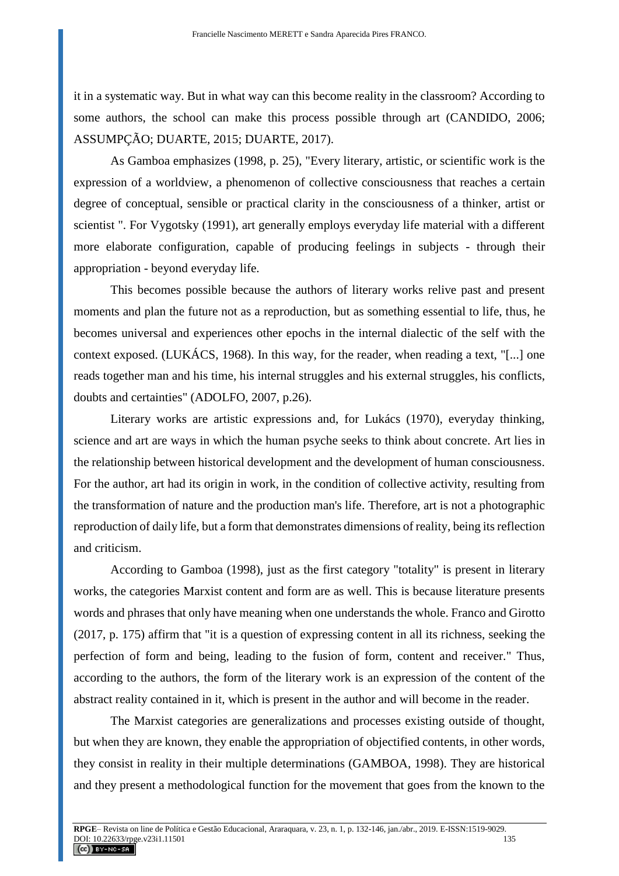it in a systematic way. But in what way can this become reality in the classroom? According to some authors, the school can make this process possible through art (CANDIDO, 2006; ASSUMPÇÃO; DUARTE, 2015; DUARTE, 2017).

As Gamboa emphasizes (1998, p. 25), "Every literary, artistic, or scientific work is the expression of a worldview, a phenomenon of collective consciousness that reaches a certain degree of conceptual, sensible or practical clarity in the consciousness of a thinker, artist or scientist ". For Vygotsky (1991), art generally employs everyday life material with a different more elaborate configuration, capable of producing feelings in subjects - through their appropriation - beyond everyday life.

This becomes possible because the authors of literary works relive past and present moments and plan the future not as a reproduction, but as something essential to life, thus, he becomes universal and experiences other epochs in the internal dialectic of the self with the context exposed. (LUKÁCS, 1968). In this way, for the reader, when reading a text, "[...] one reads together man and his time, his internal struggles and his external struggles, his conflicts, doubts and certainties" (ADOLFO, 2007, p.26).

Literary works are artistic expressions and, for Lukács (1970), everyday thinking, science and art are ways in which the human psyche seeks to think about concrete. Art lies in the relationship between historical development and the development of human consciousness. For the author, art had its origin in work, in the condition of collective activity, resulting from the transformation of nature and the production man's life. Therefore, art is not a photographic reproduction of daily life, but a form that demonstrates dimensions of reality, being its reflection and criticism.

According to Gamboa (1998), just as the first category "totality" is present in literary works, the categories Marxist content and form are as well. This is because literature presents words and phrases that only have meaning when one understands the whole. Franco and Girotto (2017, p. 175) affirm that "it is a question of expressing content in all its richness, seeking the perfection of form and being, leading to the fusion of form, content and receiver." Thus, according to the authors, the form of the literary work is an expression of the content of the abstract reality contained in it, which is present in the author and will become in the reader.

The Marxist categories are generalizations and processes existing outside of thought, but when they are known, they enable the appropriation of objectified contents, in other words, they consist in reality in their multiple determinations (GAMBOA, 1998). They are historical and they present a methodological function for the movement that goes from the known to the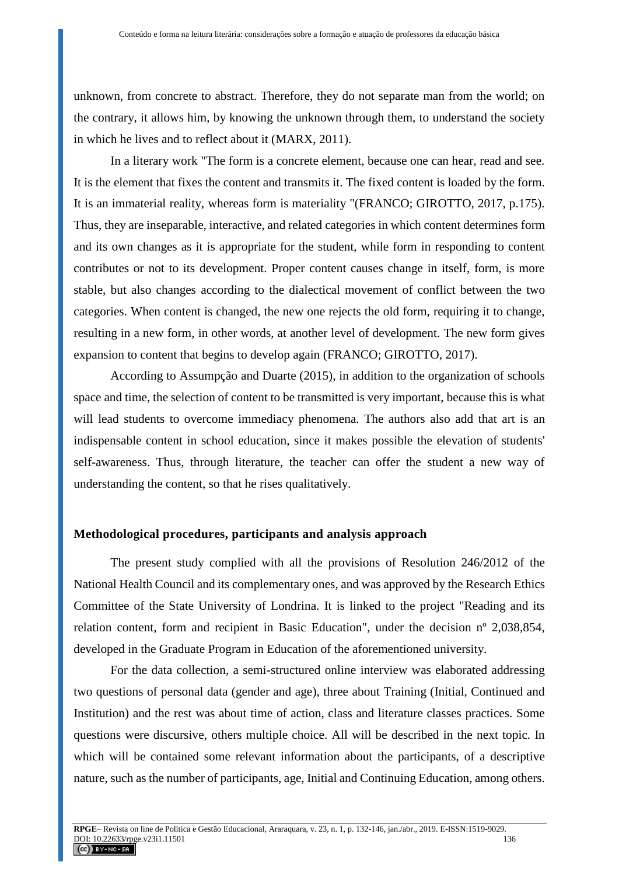unknown, from concrete to abstract. Therefore, they do not separate man from the world; on the contrary, it allows him, by knowing the unknown through them, to understand the society in which he lives and to reflect about it (MARX, 2011).

In a literary work "The form is a concrete element, because one can hear, read and see. It is the element that fixes the content and transmits it. The fixed content is loaded by the form. It is an immaterial reality, whereas form is materiality "(FRANCO; GIROTTO, 2017, p.175). Thus, they are inseparable, interactive, and related categories in which content determines form and its own changes as it is appropriate for the student, while form in responding to content contributes or not to its development. Proper content causes change in itself, form, is more stable, but also changes according to the dialectical movement of conflict between the two categories. When content is changed, the new one rejects the old form, requiring it to change, resulting in a new form, in other words, at another level of development. The new form gives expansion to content that begins to develop again (FRANCO; GIROTTO, 2017).

According to Assumpção and Duarte (2015), in addition to the organization of schools space and time, the selection of content to be transmitted is very important, because this is what will lead students to overcome immediacy phenomena. The authors also add that art is an indispensable content in school education, since it makes possible the elevation of students' self-awareness. Thus, through literature, the teacher can offer the student a new way of understanding the content, so that he rises qualitatively.

#### **Methodological procedures, participants and analysis approach**

The present study complied with all the provisions of Resolution 246/2012 of the National Health Council and its complementary ones, and was approved by the Research Ethics Committee of the State University of Londrina. It is linked to the project "Reading and its relation content, form and recipient in Basic Education", under the decision nº 2,038,854, developed in the Graduate Program in Education of the aforementioned university.

For the data collection, a semi-structured online interview was elaborated addressing two questions of personal data (gender and age), three about Training (Initial, Continued and Institution) and the rest was about time of action, class and literature classes practices. Some questions were discursive, others multiple choice. All will be described in the next topic. In which will be contained some relevant information about the participants, of a descriptive nature, such as the number of participants, age, Initial and Continuing Education, among others.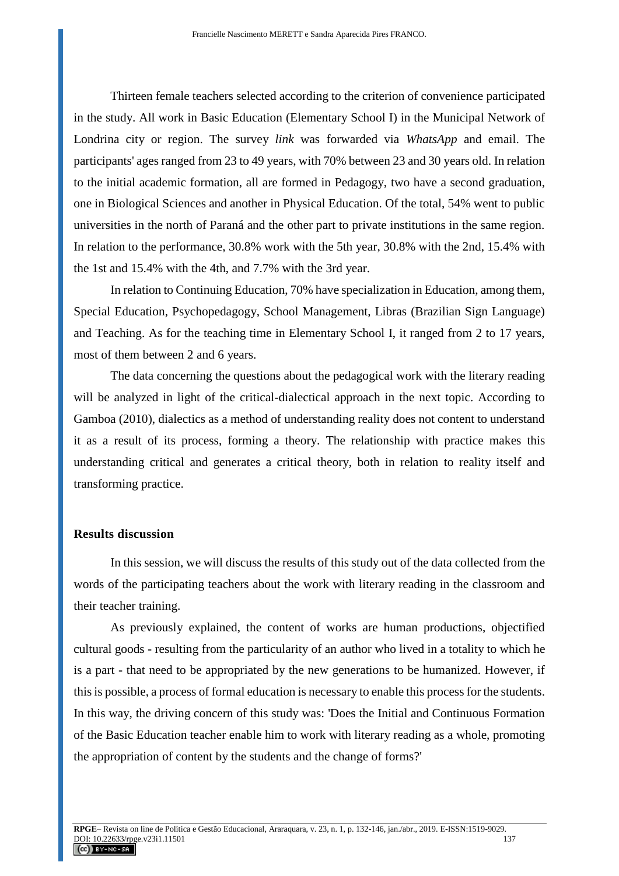Thirteen female teachers selected according to the criterion of convenience participated in the study. All work in Basic Education (Elementary School I) in the Municipal Network of Londrina city or region. The survey *link* was forwarded via *WhatsApp* and email. The participants' ages ranged from 23 to 49 years, with 70% between 23 and 30 years old. In relation to the initial academic formation, all are formed in Pedagogy, two have a second graduation, one in Biological Sciences and another in Physical Education. Of the total, 54% went to public universities in the north of Paraná and the other part to private institutions in the same region. In relation to the performance, 30.8% work with the 5th year, 30.8% with the 2nd, 15.4% with the 1st and 15.4% with the 4th, and 7.7% with the 3rd year.

In relation to Continuing Education, 70% have specialization in Education, among them, Special Education, Psychopedagogy, School Management, Libras (Brazilian Sign Language) and Teaching. As for the teaching time in Elementary School I, it ranged from 2 to 17 years, most of them between 2 and 6 years.

The data concerning the questions about the pedagogical work with the literary reading will be analyzed in light of the critical-dialectical approach in the next topic. According to Gamboa (2010), dialectics as a method of understanding reality does not content to understand it as a result of its process, forming a theory. The relationship with practice makes this understanding critical and generates a critical theory, both in relation to reality itself and transforming practice.

#### **Results discussion**

In this session, we will discuss the results of this study out of the data collected from the words of the participating teachers about the work with literary reading in the classroom and their teacher training.

As previously explained, the content of works are human productions, objectified cultural goods - resulting from the particularity of an author who lived in a totality to which he is a part - that need to be appropriated by the new generations to be humanized. However, if this is possible, a process of formal education is necessary to enable this process for the students. In this way, the driving concern of this study was: 'Does the Initial and Continuous Formation of the Basic Education teacher enable him to work with literary reading as a whole, promoting the appropriation of content by the students and the change of forms?'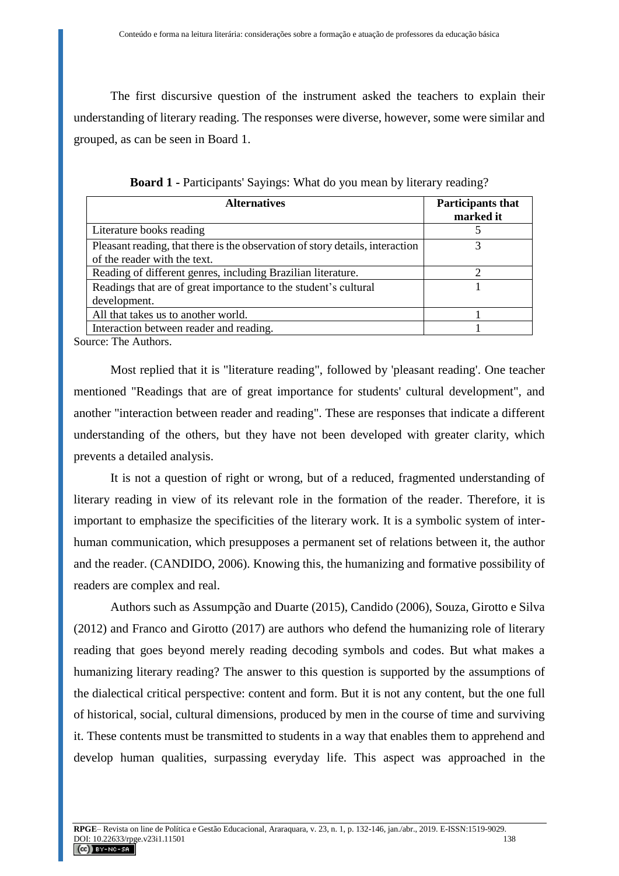The first discursive question of the instrument asked the teachers to explain their understanding of literary reading. The responses were diverse, however, some were similar and grouped, as can be seen in Board 1.

| <b>Alternatives</b>                                                           | Participants that<br>marked it |
|-------------------------------------------------------------------------------|--------------------------------|
| Literature books reading                                                      |                                |
| Pleasant reading, that there is the observation of story details, interaction |                                |
| of the reader with the text.                                                  |                                |
| Reading of different genres, including Brazilian literature.                  |                                |
| Readings that are of great importance to the student's cultural               |                                |
| development.                                                                  |                                |
| All that takes us to another world.                                           |                                |
| Interaction between reader and reading.                                       |                                |

**Board 1 -** Participants' Sayings: What do you mean by literary reading?

Source: The Authors.

Most replied that it is "literature reading", followed by 'pleasant reading'. One teacher mentioned "Readings that are of great importance for students' cultural development", and another "interaction between reader and reading". These are responses that indicate a different understanding of the others, but they have not been developed with greater clarity, which prevents a detailed analysis.

It is not a question of right or wrong, but of a reduced, fragmented understanding of literary reading in view of its relevant role in the formation of the reader. Therefore, it is important to emphasize the specificities of the literary work. It is a symbolic system of interhuman communication, which presupposes a permanent set of relations between it, the author and the reader. (CANDIDO, 2006). Knowing this, the humanizing and formative possibility of readers are complex and real.

Authors such as Assumpção and Duarte (2015), Candido (2006), Souza, Girotto e Silva (2012) and Franco and Girotto (2017) are authors who defend the humanizing role of literary reading that goes beyond merely reading decoding symbols and codes. But what makes a humanizing literary reading? The answer to this question is supported by the assumptions of the dialectical critical perspective: content and form. But it is not any content, but the one full of historical, social, cultural dimensions, produced by men in the course of time and surviving it. These contents must be transmitted to students in a way that enables them to apprehend and develop human qualities, surpassing everyday life. This aspect was approached in the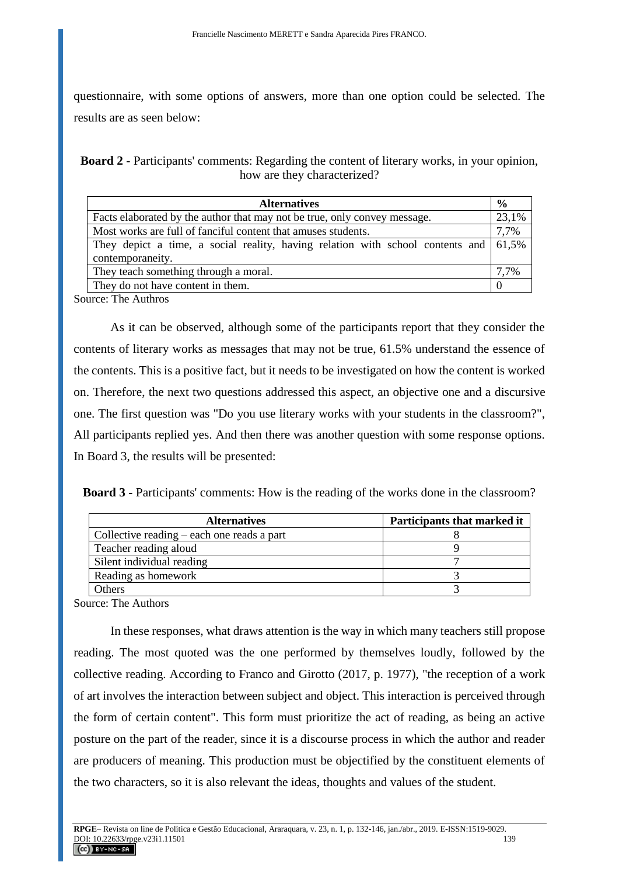questionnaire, with some options of answers, more than one option could be selected. The results are as seen below:

**Board 2 -** Participants' comments: Regarding the content of literary works, in your opinion, how are they characterized?

| $\frac{6}{9}$                                                                           |
|-----------------------------------------------------------------------------------------|
| 23,1%                                                                                   |
| 7,7%                                                                                    |
| 61,5%<br>They depict a time, a social reality, having relation with school contents and |
|                                                                                         |
| 7,7%                                                                                    |
|                                                                                         |
|                                                                                         |

Source: The Authros

As it can be observed, although some of the participants report that they consider the contents of literary works as messages that may not be true, 61.5% understand the essence of the contents. This is a positive fact, but it needs to be investigated on how the content is worked on. Therefore, the next two questions addressed this aspect, an objective one and a discursive one. The first question was "Do you use literary works with your students in the classroom?", All participants replied yes. And then there was another question with some response options. In Board 3, the results will be presented:

|  | <b>Board 3 - Participants' comments:</b> How is the reading of the works done in the classroom? |
|--|-------------------------------------------------------------------------------------------------|
|--|-------------------------------------------------------------------------------------------------|

| <b>Alternatives</b>                        | Participants that marked it |
|--------------------------------------------|-----------------------------|
| Collective reading – each one reads a part |                             |
| Teacher reading aloud                      |                             |
| Silent individual reading                  |                             |
| Reading as homework                        |                             |
| Others                                     |                             |

Source: The Authors

In these responses, what draws attention is the way in which many teachers still propose reading. The most quoted was the one performed by themselves loudly, followed by the collective reading. According to Franco and Girotto (2017, p. 1977), "the reception of a work of art involves the interaction between subject and object. This interaction is perceived through the form of certain content". This form must prioritize the act of reading, as being an active posture on the part of the reader, since it is a discourse process in which the author and reader are producers of meaning. This production must be objectified by the constituent elements of the two characters, so it is also relevant the ideas, thoughts and values of the student.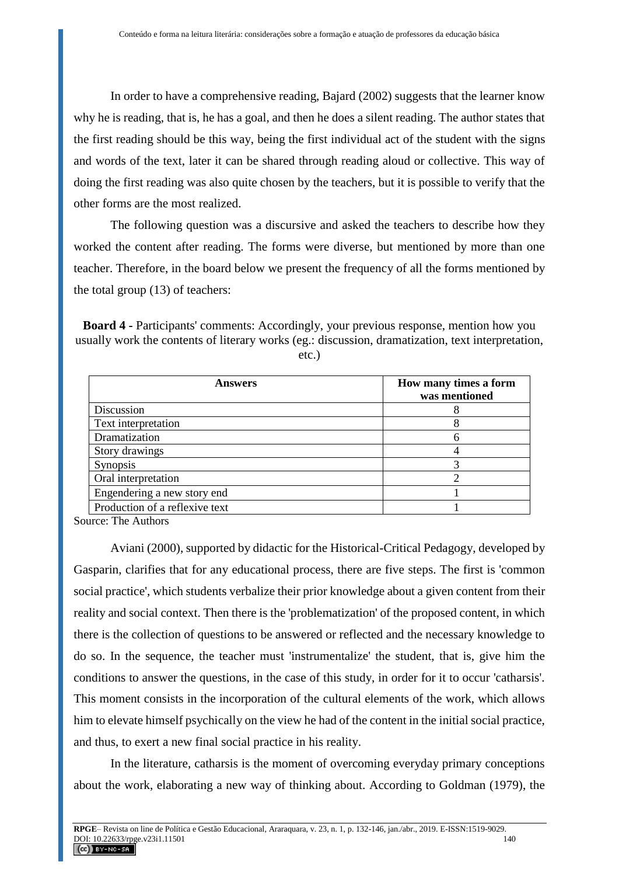In order to have a comprehensive reading, Bajard (2002) suggests that the learner know why he is reading, that is, he has a goal, and then he does a silent reading. The author states that the first reading should be this way, being the first individual act of the student with the signs and words of the text, later it can be shared through reading aloud or collective. This way of doing the first reading was also quite chosen by the teachers, but it is possible to verify that the other forms are the most realized.

The following question was a discursive and asked the teachers to describe how they worked the content after reading. The forms were diverse, but mentioned by more than one teacher. Therefore, in the board below we present the frequency of all the forms mentioned by the total group (13) of teachers:

**Board 4 -** Participants' comments: Accordingly, your previous response, mention how you usually work the contents of literary works (eg.: discussion, dramatization, text interpretation,

etc.)

| <b>Answers</b>                 | How many times a form<br>was mentioned |
|--------------------------------|----------------------------------------|
| Discussion                     |                                        |
| Text interpretation            |                                        |
| Dramatization                  |                                        |
| Story drawings                 |                                        |
| Synopsis                       |                                        |
| Oral interpretation            |                                        |
| Engendering a new story end    |                                        |
| Production of a reflexive text |                                        |

Source: The Authors

Aviani (2000), supported by didactic for the Historical-Critical Pedagogy, developed by Gasparin, clarifies that for any educational process, there are five steps. The first is 'common social practice', which students verbalize their prior knowledge about a given content from their reality and social context. Then there is the 'problematization' of the proposed content, in which there is the collection of questions to be answered or reflected and the necessary knowledge to do so. In the sequence, the teacher must 'instrumentalize' the student, that is, give him the conditions to answer the questions, in the case of this study, in order for it to occur 'catharsis'. This moment consists in the incorporation of the cultural elements of the work, which allows him to elevate himself psychically on the view he had of the content in the initial social practice, and thus, to exert a new final social practice in his reality.

In the literature, catharsis is the moment of overcoming everyday primary conceptions about the work, elaborating a new way of thinking about. According to Goldman (1979), the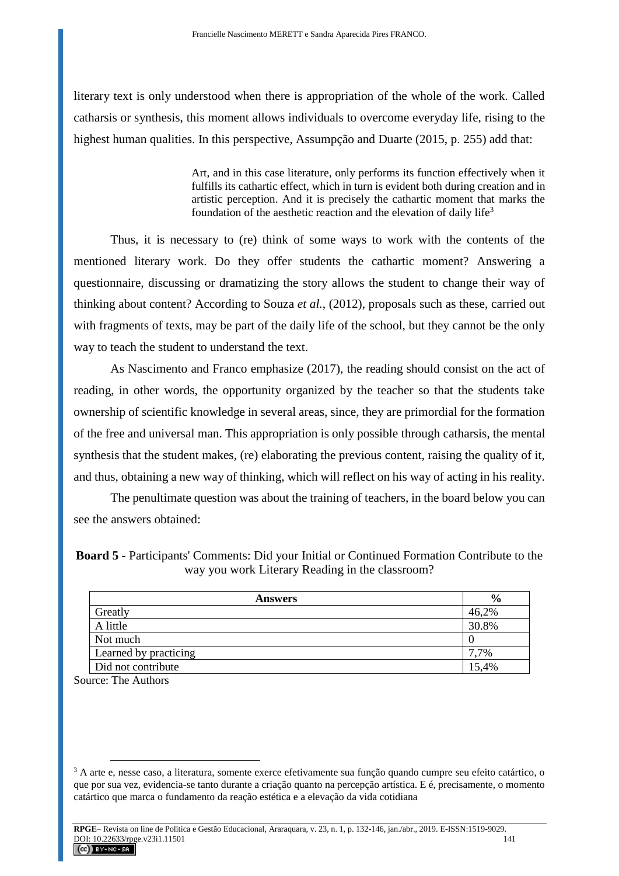literary text is only understood when there is appropriation of the whole of the work. Called catharsis or synthesis, this moment allows individuals to overcome everyday life, rising to the highest human qualities. In this perspective, Assumpção and Duarte (2015, p. 255) add that:

> Art, and in this case literature, only performs its function effectively when it fulfills its cathartic effect, which in turn is evident both during creation and in artistic perception. And it is precisely the cathartic moment that marks the foundation of the aesthetic reaction and the elevation of daily life<sup>3</sup>

Thus, it is necessary to (re) think of some ways to work with the contents of the mentioned literary work. Do they offer students the cathartic moment? Answering a questionnaire, discussing or dramatizing the story allows the student to change their way of thinking about content? According to Souza *et al.*, (2012), proposals such as these, carried out with fragments of texts, may be part of the daily life of the school, but they cannot be the only way to teach the student to understand the text.

As Nascimento and Franco emphasize (2017), the reading should consist on the act of reading, in other words, the opportunity organized by the teacher so that the students take ownership of scientific knowledge in several areas, since, they are primordial for the formation of the free and universal man. This appropriation is only possible through catharsis, the mental synthesis that the student makes, (re) elaborating the previous content, raising the quality of it, and thus, obtaining a new way of thinking, which will reflect on his way of acting in his reality.

The penultimate question was about the training of teachers, in the board below you can see the answers obtained:

**Board 5 -** Participants' Comments: Did your Initial or Continued Formation Contribute to the way you work Literary Reading in the classroom?

| <b>Answers</b>        | $\frac{6}{6}$ |
|-----------------------|---------------|
| Greatly               | 46,2%         |
| A little              | 30.8%         |
| Not much              |               |
| Learned by practicing | 7,7%          |
| Did not contribute    | 15,4%         |

Source: The Authors

 $\overline{a}$ 

<sup>3</sup> A arte e, nesse caso, a literatura, somente exerce efetivamente sua função quando cumpre seu efeito catártico, o que por sua vez, evidencia-se tanto durante a criação quanto na percepção artística. E é, precisamente, o momento catártico que marca o fundamento da reação estética e a elevação da vida cotidiana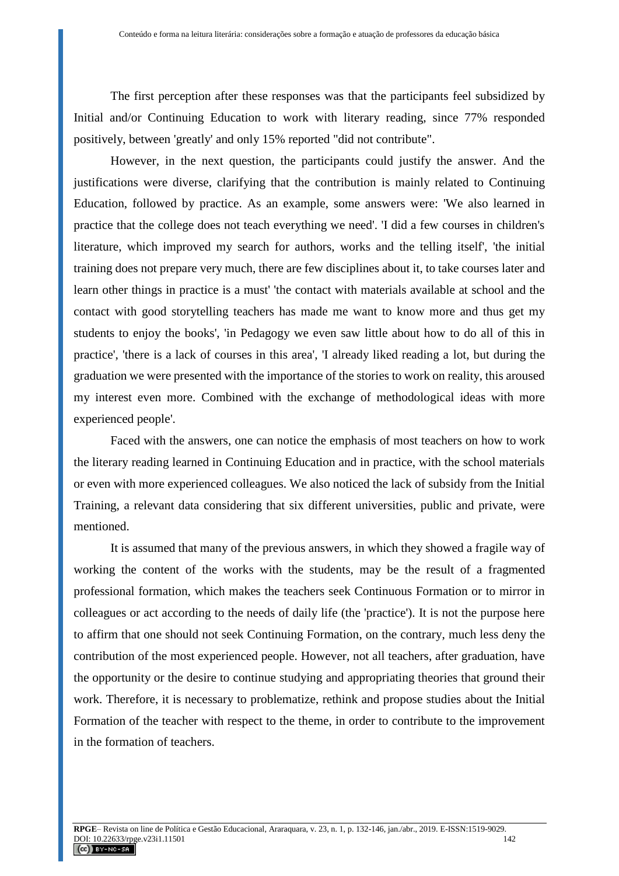The first perception after these responses was that the participants feel subsidized by Initial and/or Continuing Education to work with literary reading, since 77% responded positively, between 'greatly' and only 15% reported "did not contribute".

However, in the next question, the participants could justify the answer. And the justifications were diverse, clarifying that the contribution is mainly related to Continuing Education, followed by practice. As an example, some answers were: 'We also learned in practice that the college does not teach everything we need'. 'I did a few courses in children's literature, which improved my search for authors, works and the telling itself', 'the initial training does not prepare very much, there are few disciplines about it, to take courses later and learn other things in practice is a must' 'the contact with materials available at school and the contact with good storytelling teachers has made me want to know more and thus get my students to enjoy the books', 'in Pedagogy we even saw little about how to do all of this in practice', 'there is a lack of courses in this area', 'I already liked reading a lot, but during the graduation we were presented with the importance of the stories to work on reality, this aroused my interest even more. Combined with the exchange of methodological ideas with more experienced people'.

Faced with the answers, one can notice the emphasis of most teachers on how to work the literary reading learned in Continuing Education and in practice, with the school materials or even with more experienced colleagues. We also noticed the lack of subsidy from the Initial Training, a relevant data considering that six different universities, public and private, were mentioned.

It is assumed that many of the previous answers, in which they showed a fragile way of working the content of the works with the students, may be the result of a fragmented professional formation, which makes the teachers seek Continuous Formation or to mirror in colleagues or act according to the needs of daily life (the 'practice'). It is not the purpose here to affirm that one should not seek Continuing Formation, on the contrary, much less deny the contribution of the most experienced people. However, not all teachers, after graduation, have the opportunity or the desire to continue studying and appropriating theories that ground their work. Therefore, it is necessary to problematize, rethink and propose studies about the Initial Formation of the teacher with respect to the theme, in order to contribute to the improvement in the formation of teachers.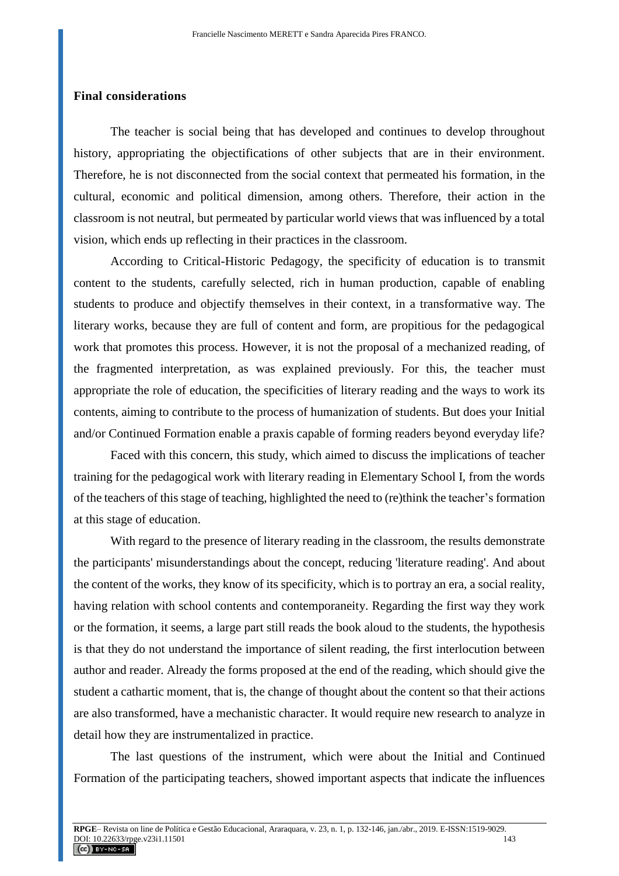### **Final considerations**

The teacher is social being that has developed and continues to develop throughout history, appropriating the objectifications of other subjects that are in their environment. Therefore, he is not disconnected from the social context that permeated his formation, in the cultural, economic and political dimension, among others. Therefore, their action in the classroom is not neutral, but permeated by particular world views that was influenced by a total vision, which ends up reflecting in their practices in the classroom.

According to Critical-Historic Pedagogy, the specificity of education is to transmit content to the students, carefully selected, rich in human production, capable of enabling students to produce and objectify themselves in their context, in a transformative way. The literary works, because they are full of content and form, are propitious for the pedagogical work that promotes this process. However, it is not the proposal of a mechanized reading, of the fragmented interpretation, as was explained previously. For this, the teacher must appropriate the role of education, the specificities of literary reading and the ways to work its contents, aiming to contribute to the process of humanization of students. But does your Initial and/or Continued Formation enable a praxis capable of forming readers beyond everyday life?

Faced with this concern, this study, which aimed to discuss the implications of teacher training for the pedagogical work with literary reading in Elementary School I, from the words of the teachers of this stage of teaching, highlighted the need to (re)think the teacher's formation at this stage of education.

With regard to the presence of literary reading in the classroom, the results demonstrate the participants' misunderstandings about the concept, reducing 'literature reading'. And about the content of the works, they know of its specificity, which is to portray an era, a social reality, having relation with school contents and contemporaneity. Regarding the first way they work or the formation, it seems, a large part still reads the book aloud to the students, the hypothesis is that they do not understand the importance of silent reading, the first interlocution between author and reader. Already the forms proposed at the end of the reading, which should give the student a cathartic moment, that is, the change of thought about the content so that their actions are also transformed, have a mechanistic character. It would require new research to analyze in detail how they are instrumentalized in practice.

The last questions of the instrument, which were about the Initial and Continued Formation of the participating teachers, showed important aspects that indicate the influences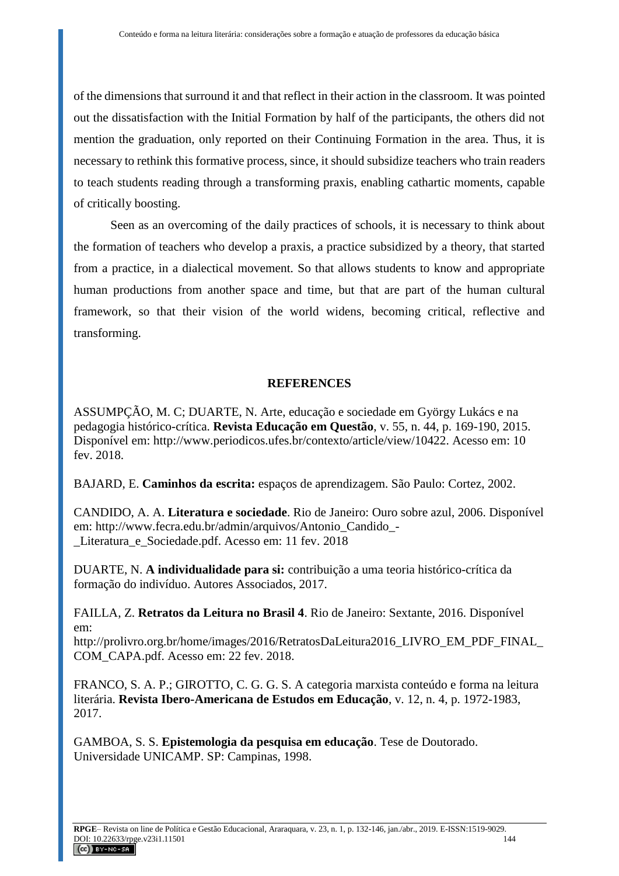of the dimensions that surround it and that reflect in their action in the classroom. It was pointed out the dissatisfaction with the Initial Formation by half of the participants, the others did not mention the graduation, only reported on their Continuing Formation in the area. Thus, it is necessary to rethink this formative process, since, it should subsidize teachers who train readers to teach students reading through a transforming praxis, enabling cathartic moments, capable of critically boosting.

Seen as an overcoming of the daily practices of schools, it is necessary to think about the formation of teachers who develop a praxis, a practice subsidized by a theory, that started from a practice, in a dialectical movement. So that allows students to know and appropriate human productions from another space and time, but that are part of the human cultural framework, so that their vision of the world widens, becoming critical, reflective and transforming.

# **REFERENCES**

ASSUMPÇÃO, M. C; DUARTE, N. Arte, educação e sociedade em György Lukács e na pedagogia histórico-crítica. **Revista Educação em Questão**, v. 55, n. 44, p. 169-190, 2015. Disponível em: http://www.periodicos.ufes.br/contexto/article/view/10422. Acesso em: 10 fev. 2018.

BAJARD, E. **Caminhos da escrita:** espaços de aprendizagem. São Paulo: Cortez, 2002.

CANDIDO, A. A. **Literatura e sociedade**. Rio de Janeiro: Ouro sobre azul, 2006. Disponível em: http://www.fecra.edu.br/admin/arquivos/Antonio\_Candido\_- \_Literatura\_e\_Sociedade.pdf. Acesso em: 11 fev. 2018

DUARTE, N. **A individualidade para si:** contribuição a uma teoria histórico-crítica da formação do indivíduo. Autores Associados, 2017.

FAILLA, Z. **Retratos da Leitura no Brasil 4**. Rio de Janeiro: Sextante, 2016. Disponível em:

http://prolivro.org.br/home/images/2016/RetratosDaLeitura2016\_LIVRO\_EM\_PDF\_FINAL\_ COM\_CAPA.pdf. Acesso em: 22 fev. 2018.

FRANCO, S. A. P.; GIROTTO, C. G. G. S. A categoria marxista conteúdo e forma na leitura literária. **Revista Ibero-Americana de Estudos em Educação**, v. 12, n. 4, p. 1972-1983, 2017.

GAMBOA, S. S. **Epistemologia da pesquisa em educação**. Tese de Doutorado. Universidade UNICAMP. SP: Campinas, 1998.